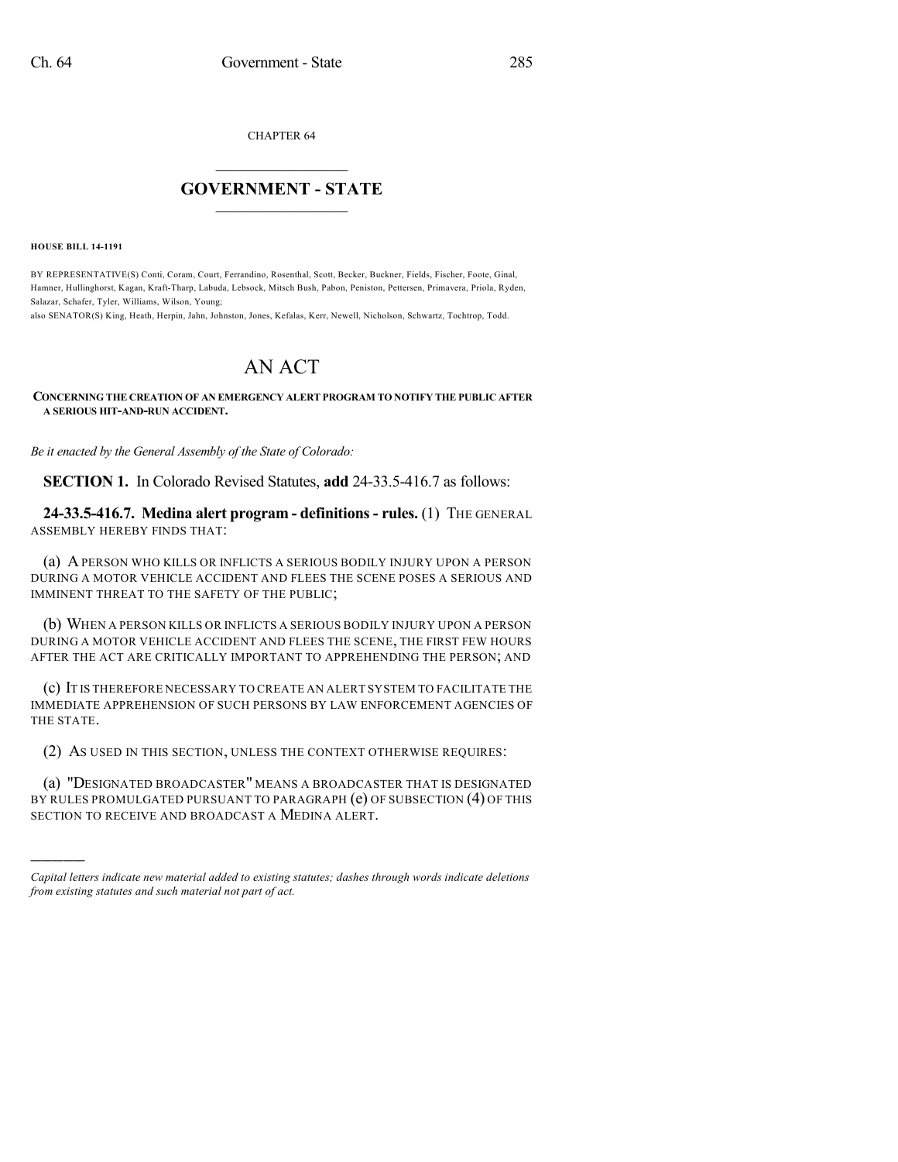CHAPTER 64

## $\mathcal{L}_\text{max}$  . The set of the set of the set of the set of the set of the set of the set of the set of the set of the set of the set of the set of the set of the set of the set of the set of the set of the set of the set **GOVERNMENT - STATE**  $\_$   $\_$   $\_$   $\_$   $\_$   $\_$   $\_$   $\_$   $\_$

**HOUSE BILL 14-1191**

)))))

BY REPRESENTATIVE(S) Conti, Coram, Court, Ferrandino, Rosenthal, Scott, Becker, Buckner, Fields, Fischer, Foote, Ginal, Hamner, Hullinghorst, Kagan, Kraft-Tharp, Labuda, Lebsock, Mitsch Bush, Pabon, Peniston, Pettersen, Primavera, Priola, Ryden, Salazar, Schafer, Tyler, Williams, Wilson, Young;

also SENATOR(S) King, Heath, Herpin, Jahn, Johnston, Jones, Kefalas, Kerr, Newell, Nicholson, Schwartz, Tochtrop, Todd.

## AN ACT

## **CONCERNING THE CREATION OF AN EMERGENCY ALERT PROGRAM TO NOTIFY THE PUBLIC AFTER A SERIOUS HIT-AND-RUN ACCIDENT.**

*Be it enacted by the General Assembly of the State of Colorado:*

**SECTION 1.** In Colorado Revised Statutes, **add** 24-33.5-416.7 as follows:

**24-33.5-416.7. Medina alert program - definitions - rules.** (1) THE GENERAL ASSEMBLY HEREBY FINDS THAT:

(a) A PERSON WHO KILLS OR INFLICTS A SERIOUS BODILY INJURY UPON A PERSON DURING A MOTOR VEHICLE ACCIDENT AND FLEES THE SCENE POSES A SERIOUS AND IMMINENT THREAT TO THE SAFETY OF THE PUBLIC;

(b) WHEN A PERSON KILLS OR INFLICTS A SERIOUS BODILY INJURY UPON A PERSON DURING A MOTOR VEHICLE ACCIDENT AND FLEES THE SCENE, THE FIRST FEW HOURS AFTER THE ACT ARE CRITICALLY IMPORTANT TO APPREHENDING THE PERSON; AND

(c) IT IS THEREFORE NECESSARY TO CREATE AN ALERT SYSTEM TO FACILITATE THE IMMEDIATE APPREHENSION OF SUCH PERSONS BY LAW ENFORCEMENT AGENCIES OF THE STATE.

(2) AS USED IN THIS SECTION, UNLESS THE CONTEXT OTHERWISE REQUIRES:

(a) "DESIGNATED BROADCASTER" MEANS A BROADCASTER THAT IS DESIGNATED BY RULES PROMULGATED PURSUANT TO PARAGRAPH (e) OF SUBSECTION (4) OF THIS SECTION TO RECEIVE AND BROADCAST A MEDINA ALERT.

*Capital letters indicate new material added to existing statutes; dashes through words indicate deletions from existing statutes and such material not part of act.*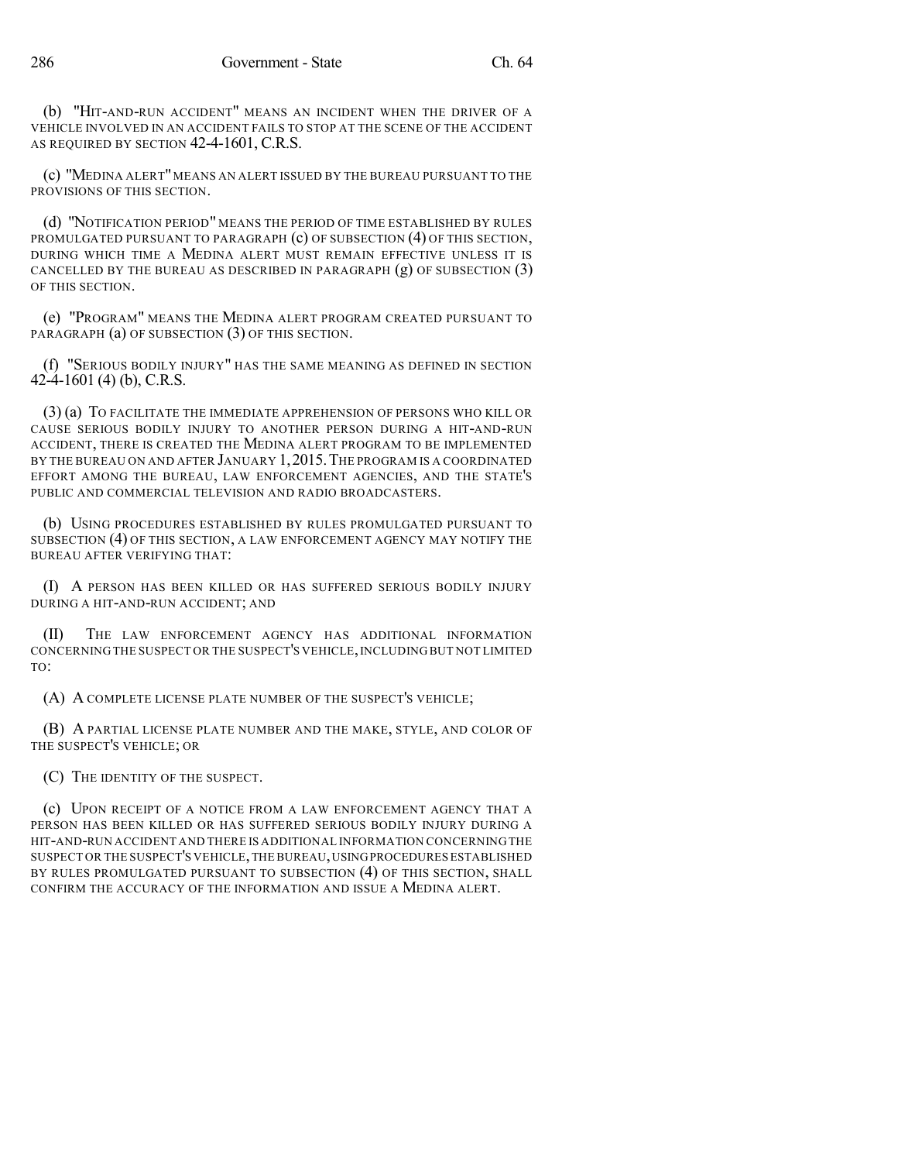(b) "HIT-AND-RUN ACCIDENT" MEANS AN INCIDENT WHEN THE DRIVER OF A VEHICLE INVOLVED IN AN ACCIDENT FAILS TO STOP AT THE SCENE OF THE ACCIDENT AS REQUIRED BY SECTION 42-4-1601, C.R.S.

(c) "MEDINA ALERT"MEANS AN ALERT ISSUED BY THE BUREAU PURSUANT TO THE PROVISIONS OF THIS SECTION.

(d) "NOTIFICATION PERIOD" MEANS THE PERIOD OF TIME ESTABLISHED BY RULES PROMULGATED PURSUANT TO PARAGRAPH (c) OF SUBSECTION (4) OF THIS SECTION, DURING WHICH TIME A MEDINA ALERT MUST REMAIN EFFECTIVE UNLESS IT IS CANCELLED BY THE BUREAU AS DESCRIBED IN PARAGRAPH  $(g)$  OF SUBSECTION  $(3)$ OF THIS SECTION.

(e) "PROGRAM" MEANS THE MEDINA ALERT PROGRAM CREATED PURSUANT TO PARAGRAPH (a) OF SUBSECTION (3) OF THIS SECTION.

(f) "SERIOUS BODILY INJURY" HAS THE SAME MEANING AS DEFINED IN SECTION 42-4-1601 (4) (b), C.R.S.

(3) (a) TO FACILITATE THE IMMEDIATE APPREHENSION OF PERSONS WHO KILL OR CAUSE SERIOUS BODILY INJURY TO ANOTHER PERSON DURING A HIT-AND-RUN ACCIDENT, THERE IS CREATED THE MEDINA ALERT PROGRAM TO BE IMPLEMENTED BY THE BUREAU ON AND AFTER JANUARY 1,2015.THE PROGRAM IS A COORDINATED EFFORT AMONG THE BUREAU, LAW ENFORCEMENT AGENCIES, AND THE STATE'S PUBLIC AND COMMERCIAL TELEVISION AND RADIO BROADCASTERS.

(b) USING PROCEDURES ESTABLISHED BY RULES PROMULGATED PURSUANT TO SUBSECTION (4) OF THIS SECTION, A LAW ENFORCEMENT AGENCY MAY NOTIFY THE BUREAU AFTER VERIFYING THAT:

(I) A PERSON HAS BEEN KILLED OR HAS SUFFERED SERIOUS BODILY INJURY DURING A HIT-AND-RUN ACCIDENT; AND

(II) THE LAW ENFORCEMENT AGENCY HAS ADDITIONAL INFORMATION CONCERNING THE SUSPECT OR THE SUSPECT'S VEHICLE,INCLUDING BUT NOT LIMITED TO:

(A) A COMPLETE LICENSE PLATE NUMBER OF THE SUSPECT'S VEHICLE;

(B) A PARTIAL LICENSE PLATE NUMBER AND THE MAKE, STYLE, AND COLOR OF THE SUSPECT'S VEHICLE; OR

(C) THE IDENTITY OF THE SUSPECT.

(c) UPON RECEIPT OF A NOTICE FROM A LAW ENFORCEMENT AGENCY THAT A PERSON HAS BEEN KILLED OR HAS SUFFERED SERIOUS BODILY INJURY DURING A HIT-AND-RUN ACCIDENT AND THERE IS ADDITIONAL INFORMATION CONCERNING THE SUSPECT OR THE SUSPECT'S VEHICLE,THE BUREAU,USINGPROCEDURES ESTABLISHED BY RULES PROMULGATED PURSUANT TO SUBSECTION (4) OF THIS SECTION, SHALL CONFIRM THE ACCURACY OF THE INFORMATION AND ISSUE A MEDINA ALERT.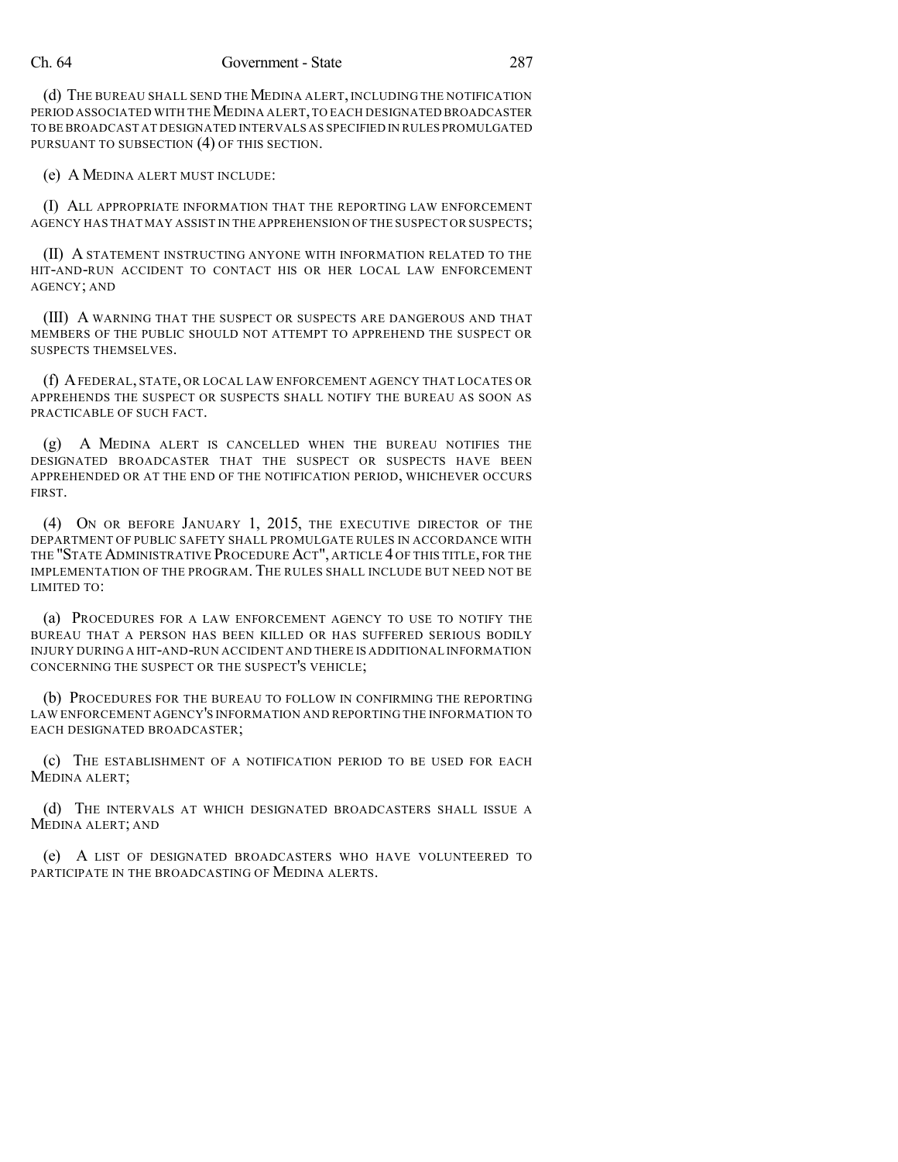## Ch. 64 Government - State 287

(d) THE BUREAU SHALL SEND THE MEDINA ALERT, INCLUDING THE NOTIFICATION PERIOD ASSOCIATED WITH THE MEDINA ALERT, TO EACH DESIGNATED BROADCASTER TO BE BROADCAST AT DESIGNATED INTERVALS AS SPECIFIED IN RULES PROMULGATED PURSUANT TO SUBSECTION (4) OF THIS SECTION.

(e) A MEDINA ALERT MUST INCLUDE:

(I) ALL APPROPRIATE INFORMATION THAT THE REPORTING LAW ENFORCEMENT AGENCY HAS THAT MAY ASSIST IN THE APPREHENSION OF THE SUSPECT OR SUSPECTS;

(II) A STATEMENT INSTRUCTING ANYONE WITH INFORMATION RELATED TO THE HIT-AND-RUN ACCIDENT TO CONTACT HIS OR HER LOCAL LAW ENFORCEMENT AGENCY; AND

(III) A WARNING THAT THE SUSPECT OR SUSPECTS ARE DANGEROUS AND THAT MEMBERS OF THE PUBLIC SHOULD NOT ATTEMPT TO APPREHEND THE SUSPECT OR SUSPECTS THEMSELVES.

(f) AFEDERAL, STATE, OR LOCAL LAW ENFORCEMENT AGENCY THAT LOCATES OR APPREHENDS THE SUSPECT OR SUSPECTS SHALL NOTIFY THE BUREAU AS SOON AS PRACTICABLE OF SUCH FACT.

(g) A MEDINA ALERT IS CANCELLED WHEN THE BUREAU NOTIFIES THE DESIGNATED BROADCASTER THAT THE SUSPECT OR SUSPECTS HAVE BEEN APPREHENDED OR AT THE END OF THE NOTIFICATION PERIOD, WHICHEVER OCCURS FIRST.

(4) ON OR BEFORE JANUARY 1, 2015, THE EXECUTIVE DIRECTOR OF THE DEPARTMENT OF PUBLIC SAFETY SHALL PROMULGATE RULES IN ACCORDANCE WITH THE "STATE ADMINISTRATIVE PROCEDURE ACT", ARTICLE 4 OF THIS TITLE, FOR THE IMPLEMENTATION OF THE PROGRAM. THE RULES SHALL INCLUDE BUT NEED NOT BE LIMITED TO:

(a) PROCEDURES FOR A LAW ENFORCEMENT AGENCY TO USE TO NOTIFY THE BUREAU THAT A PERSON HAS BEEN KILLED OR HAS SUFFERED SERIOUS BODILY INJURY DURING A HIT-AND-RUN ACCIDENT AND THERE IS ADDITIONAL INFORMATION CONCERNING THE SUSPECT OR THE SUSPECT'S VEHICLE;

(b) PROCEDURES FOR THE BUREAU TO FOLLOW IN CONFIRMING THE REPORTING LAW ENFORCEMENT AGENCY'S INFORMATION AND REPORTING THE INFORMATION TO EACH DESIGNATED BROADCASTER;

(c) THE ESTABLISHMENT OF A NOTIFICATION PERIOD TO BE USED FOR EACH MEDINA ALERT;

(d) THE INTERVALS AT WHICH DESIGNATED BROADCASTERS SHALL ISSUE A MEDINA ALERT; AND

(e) A LIST OF DESIGNATED BROADCASTERS WHO HAVE VOLUNTEERED TO PARTICIPATE IN THE BROADCASTING OF MEDINA ALERTS.